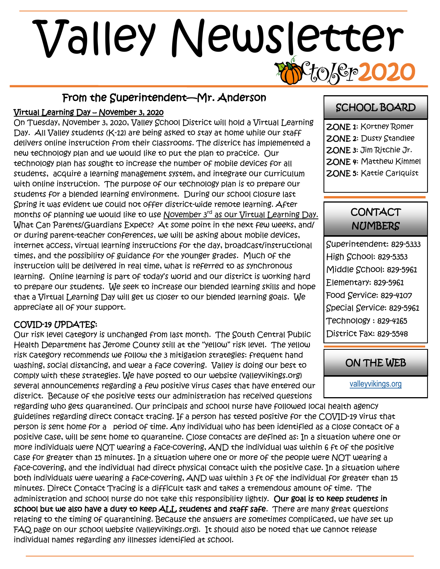# 0/0p2 Valley Newsletter

#### From the Superintendent—Mr. Anderson

#### Virtual Learning Day – November 3, 2020

On Tuesday, November 3, 2020, Valley School District will hold a Virtual Learning Day. All Valley students (K-12) are being asked to stay at home while our staff delivers online instruction from their classrooms. The district has implemented a new technology plan and we would like to put the plan to practice. Our technology plan has sought to increase the number of mobile devices for all students, acquire a learning management system, and integrate our curriculum with online instruction. The purpose of our technology plan is to prepare our students for a blended learning environment. During our school closure last Spring it was evident we could not offer district-wide remote learning. After months of planning we would like to use November 3<sup>rd</sup> as our Virtual Learning Day. What Can Parents/Guardians Expect? At some point in the next few weeks, and/ or during parent-teacher conferences, we will be asking about mobile devices, internet access, virtual learning instructions for the day, broadcast/instructional times, and the possibility of guidance for the younger grades. Much of the instruction will be delivered in real time, what is referred to as synchronous learning. Online learning is part of today's world and our district is working hard to prepare our students. We seek to increase our blended learning skills and hope that a Virtual Learning Day will get us closer to our blended learning goals. We appreciate all of your support.

#### COVID-19 UPDATES:

Our risk level category is unchanged from last month. The South Central Public Health Department has Jerome County still at the "yellow" risk level. The yellow risk category recommends we follow the 3 mitigation strategies: frequent hand washing, social distancing, and wear a face covering. Valley is doing our best to comply with these strategies. We have posted to our website (valleyvikings.org) several announcements regarding a few positive virus cases that have entered our district. Because of the positive tests our administration has received questions

regarding who gets quarantined. Our principals and school nurse have followed local health agency guidelines regarding direct contact tracing. If a person has tested positive for the COVID-19 virus that person is sent home for a period of time. Any individual who has been identified as a close contact of a positive case, will be sent home to quarantine. Close contacts are defined as: In a situation where one or more individuals were NOT wearing a face-covering, AND the individual was within 6 ft of the positive case for greater than 15 minutes. In a situation where one or more of the people were NOT wearing a face-covering, and the individual had direct physical contact with the positive case. In a situation where both individuals were wearing a face-covering, AND was within 3 ft of the individual for greater than 15 minutes. Direct Contact Tracing is a difficult task and takes a tremendous amount of time. The administration and school nurse do not take this responsibility lightly. Our goal is to keep students in school but we also have a duty to keep ALL students and staff safe. There are many great questions relating to the timing of quarantining. Because the answers are sometimes complicated, we have set up FAQ page on our school website (valleyvikings.org). It should also be noted that we cannot release individual names regarding any illnesses identified at school.

#### SCHOOL BOARD

ZONE 1: Kortney Romer ZONE 2: Dusty Standlee ZONE 3: Jim Ritchie Jr. ZONE 4: Matthew Kimmel ZONE 5: Kattie Carlquist

#### **CONTACT NUMBERS**

Superintendent: 829-5333 High School: 829-5353 Middle School: 829-5961 Elementary: 829-5961 Food Service: 829-4107 Special Service: 829-5961 Technology : 829-4165 District Fax: 829-5548

#### ON THE WEB

[valleyvikings.org](http://www.valleyvikings.org/)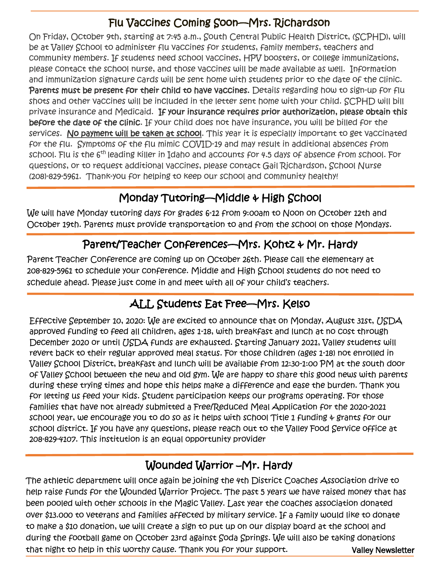# Flu Vaccines Coming Soon—Mrs. Richardson

On Friday, October 9th, starting at 7:45 a.m., South Central Public Health District, (SCPHD), will be at Valley School to administer flu vaccines for students, family members, teachers and community members. If students need school vaccines, HPV boosters, or college immunizations, please contact the school nurse, and those vaccines will be made available as well. Information and immunization signature cards will be sent home with students prior to the date of the clinic. Parents must be present for their child to have vaccines. Details regarding how to sign-up for flu shots and other vaccines will be included in the letter sent home with your child. SCPHD will bill private insurance and Medicaid. If your insurance requires prior authorization, please obtain this before the date of the clinic. If your child does not have insurance, you will be billed for the services. No payment will be taken at school. This year it is especially important to get vaccinated for the flu. Symptoms of the flu mimic COVID-19 and may result in additional absences from school. Flu is the 6<sup>th</sup> leading killer in Idaho and accounts for 4.5 days of absence from school. For questions, or to request additional vaccines, please contact Gail Richardson, School Nurse (208)-829-5961. Thank-you for helping to keep our school and community healthy!

## Monday Tutoring—Middle & High School

We will have Monday tutoring days for grades 6-12 from 9:00am to Noon on October 12th and October 19th. Parents must provide transportation to and from the school on those Mondays.

# Parent/Teacher Conferences—Mrs. Kohtz & Mr. Hardy

Parent Teacher Conference are coming up on October 26th. Please call the elementary at 208-829-5961 to schedule your conference. Middle and High School students do not need to schedule ahead. Please just come in and meet with all of your child's teachers.

## ALL Students Eat Free—Mrs. Kelso

Effective September 10, 2020: We are excited to announce that on Monday, August 31st, USDA approved funding to feed all children, ages 1-18, with breakfast and lunch at no cost through December 2020 or until USDA funds are exhausted. Starting January 2021, Valley students will revert back to their regular approved meal status. For those children (ages 1-18) not enrolled in Valley School District, breakfast and lunch will be available from 12:30-1:00 PM at the south door of Valley School between the new and old gym. We are happy to share this good news with parents during these trying times and hope this helps make a difference and ease the burden. Thank you for letting us feed your kids. Student participation keeps our programs operating. For those families that have not already submitted a Free/Reduced Meal Application for the 2020-2021 school year, we encourage you to do so as it helps with school Title 1 funding  $\psi$  grants for our school district. If you have any questions, please reach out to the Valley Food Service office at 208-829-4107. This institution is an equal opportunity provider

#### Wounded Warrior –Mr. Hardy

Valley Newsletter The athletic department will once again be joining the 4th District Coaches Association drive to help raise funds for the Wounded Warrior Project. The past 5 years we have raised money that has been pooled with other schools in the Magic Valley. Last year the coaches association donated over \$13.000 to veterans and families affected by military service. If a family would like to donate to make a \$10 donation, we will create a sign to put up on our display board at the school and during the football game on October 23rd against Soda Springs. We will also be taking donations that night to help in this worthy cause. Thank you for your support.